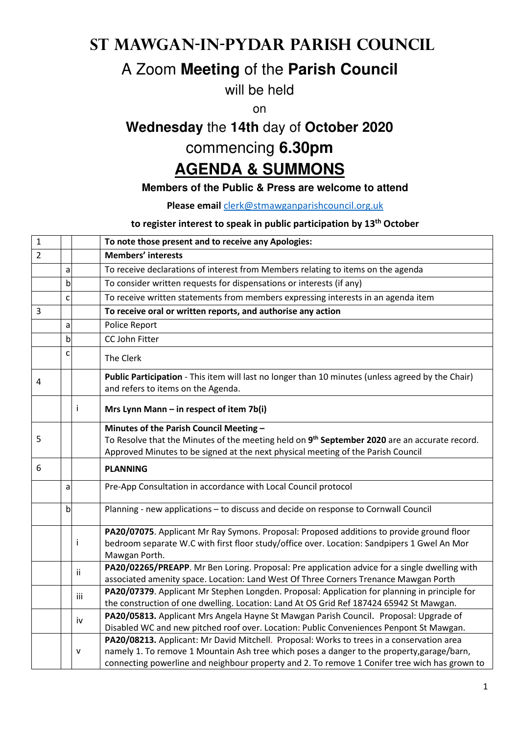# **St Mawgan-in-Pydar Parish Council**

# A Zoom **Meeting** of the **Parish Council**

will be held

on

# **Wednesday** the **14th** day of **October 2020**

# commencing **6.30pm**

# **AGENDA & SUMMONS**

#### **Members of the Public & Press are welcome to attend**

**Please email** clerk@stmawganparishcouncil.org.uk

#### **to register interest to speak in public participation by 13th October**

| $\mathbf{1}$   |   |     | To note those present and to receive any Apologies:                                                                                                                                                                                                                                      |
|----------------|---|-----|------------------------------------------------------------------------------------------------------------------------------------------------------------------------------------------------------------------------------------------------------------------------------------------|
| $\overline{2}$ |   |     | Members' interests                                                                                                                                                                                                                                                                       |
|                | a |     | To receive declarations of interest from Members relating to items on the agenda                                                                                                                                                                                                         |
|                | b |     | To consider written requests for dispensations or interests (if any)                                                                                                                                                                                                                     |
|                | C |     | To receive written statements from members expressing interests in an agenda item                                                                                                                                                                                                        |
| 3              |   |     | To receive oral or written reports, and authorise any action                                                                                                                                                                                                                             |
|                | a |     | Police Report                                                                                                                                                                                                                                                                            |
|                | b |     | CC John Fitter                                                                                                                                                                                                                                                                           |
|                | c |     | The Clerk                                                                                                                                                                                                                                                                                |
| 4              |   |     | Public Participation - This item will last no longer than 10 minutes (unless agreed by the Chair)<br>and refers to items on the Agenda.                                                                                                                                                  |
|                |   | Ť   | Mrs Lynn Mann $-$ in respect of item 7b(i)                                                                                                                                                                                                                                               |
| 5              |   |     | Minutes of the Parish Council Meeting -<br>To Resolve that the Minutes of the meeting held on 9 <sup>th</sup> September 2020 are an accurate record.<br>Approved Minutes to be signed at the next physical meeting of the Parish Council                                                 |
| 6              |   |     | <b>PLANNING</b>                                                                                                                                                                                                                                                                          |
|                | a |     | Pre-App Consultation in accordance with Local Council protocol                                                                                                                                                                                                                           |
|                | b |     | Planning - new applications - to discuss and decide on response to Cornwall Council                                                                                                                                                                                                      |
|                |   | i.  | PA20/07075. Applicant Mr Ray Symons. Proposal: Proposed additions to provide ground floor<br>bedroom separate W.C with first floor study/office over. Location: Sandpipers 1 Gwel An Mor<br>Mawgan Porth.                                                                                |
|                |   | ii  | PA20/02265/PREAPP. Mr Ben Loring. Proposal: Pre application advice for a single dwelling with<br>associated amenity space. Location: Land West Of Three Corners Trenance Mawgan Porth                                                                                                    |
|                |   | iii | PA20/07379. Applicant Mr Stephen Longden. Proposal: Application for planning in principle for<br>the construction of one dwelling. Location: Land At OS Grid Ref 187424 65942 St Mawgan.                                                                                                 |
|                |   | iv  | PA20/05813. Applicant Mrs Angela Hayne St Mawgan Parish Council. Proposal: Upgrade of<br>Disabled WC and new pitched roof over. Location: Public Conveniences Penpont St Mawgan.                                                                                                         |
|                |   | v   | PA20/08213. Applicant: Mr David Mitchell. Proposal: Works to trees in a conservation area<br>namely 1. To remove 1 Mountain Ash tree which poses a danger to the property, garage/barn,<br>connecting powerline and neighbour property and 2. To remove 1 Conifer tree wich has grown to |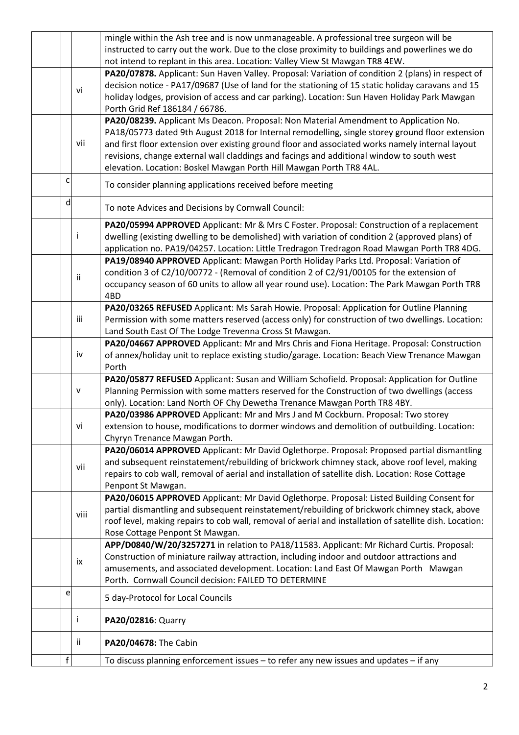|   |           | mingle within the Ash tree and is now unmanageable. A professional tree surgeon will be                                                                                          |
|---|-----------|----------------------------------------------------------------------------------------------------------------------------------------------------------------------------------|
|   |           | instructed to carry out the work. Due to the close proximity to buildings and powerlines we do                                                                                   |
|   |           | not intend to replant in this area. Location: Valley View St Mawgan TR8 4EW.                                                                                                     |
|   |           | PA20/07878. Applicant: Sun Haven Valley. Proposal: Variation of condition 2 (plans) in respect of                                                                                |
|   | vi        | decision notice - PA17/09687 (Use of land for the stationing of 15 static holiday caravans and 15                                                                                |
|   |           | holiday lodges, provision of access and car parking). Location: Sun Haven Holiday Park Mawgan                                                                                    |
|   |           | Porth Grid Ref 186184 / 66786.                                                                                                                                                   |
|   |           | PA20/08239. Applicant Ms Deacon. Proposal: Non Material Amendment to Application No.                                                                                             |
|   |           | PA18/05773 dated 9th August 2018 for Internal remodelling, single storey ground floor extension                                                                                  |
|   | vii       | and first floor extension over existing ground floor and associated works namely internal layout                                                                                 |
|   |           | revisions, change external wall claddings and facings and additional window to south west                                                                                        |
|   |           | elevation. Location: Boskel Mawgan Porth Hill Mawgan Porth TR8 4AL.                                                                                                              |
| C |           | To consider planning applications received before meeting                                                                                                                        |
| d |           | To note Advices and Decisions by Cornwall Council:                                                                                                                               |
|   |           | PA20/05994 APPROVED Applicant: Mr & Mrs C Foster. Proposal: Construction of a replacement                                                                                        |
|   | i         | dwelling (existing dwelling to be demolished) with variation of condition 2 (approved plans) of                                                                                  |
|   |           | application no. PA19/04257. Location: Little Tredragon Tredragon Road Mawgan Porth TR8 4DG.                                                                                      |
|   |           | PA19/08940 APPROVED Applicant: Mawgan Porth Holiday Parks Ltd. Proposal: Variation of                                                                                            |
|   | ii        | condition 3 of C2/10/00772 - (Removal of condition 2 of C2/91/00105 for the extension of                                                                                         |
|   |           | occupancy season of 60 units to allow all year round use). Location: The Park Mawgan Porth TR8                                                                                   |
|   |           | 4BD                                                                                                                                                                              |
|   |           | PA20/03265 REFUSED Applicant: Ms Sarah Howie. Proposal: Application for Outline Planning                                                                                         |
|   | iii       | Permission with some matters reserved (access only) for construction of two dwellings. Location:                                                                                 |
|   |           | Land South East Of The Lodge Trevenna Cross St Mawgan.                                                                                                                           |
|   |           | PA20/04667 APPROVED Applicant: Mr and Mrs Chris and Fiona Heritage. Proposal: Construction                                                                                       |
|   | iv        | of annex/holiday unit to replace existing studio/garage. Location: Beach View Trenance Mawgan                                                                                    |
|   |           | Porth                                                                                                                                                                            |
|   |           | PA20/05877 REFUSED Applicant: Susan and William Schofield. Proposal: Application for Outline                                                                                     |
|   | ${\sf v}$ | Planning Permission with some matters reserved for the Construction of two dwellings (access                                                                                     |
|   |           | only). Location: Land North OF Chy Dewetha Trenance Mawgan Porth TR8 4BY.                                                                                                        |
|   | vi        | PA20/03986 APPROVED Applicant: Mr and Mrs J and M Cockburn. Proposal: Two storey<br>extension to house, modifications to dormer windows and demolition of outbuilding. Location: |
|   |           | Chyryn Trenance Mawgan Porth.                                                                                                                                                    |
|   |           | PA20/06014 APPROVED Applicant: Mr David Oglethorpe. Proposal: Proposed partial dismantling                                                                                       |
|   |           | and subsequent reinstatement/rebuilding of brickwork chimney stack, above roof level, making                                                                                     |
|   | vii       | repairs to cob wall, removal of aerial and installation of satellite dish. Location: Rose Cottage                                                                                |
|   |           | Penpont St Mawgan.                                                                                                                                                               |
|   |           | PA20/06015 APPROVED Applicant: Mr David Oglethorpe. Proposal: Listed Building Consent for                                                                                        |
|   |           | partial dismantling and subsequent reinstatement/rebuilding of brickwork chimney stack, above                                                                                    |
|   | viii      | roof level, making repairs to cob wall, removal of aerial and installation of satellite dish. Location:                                                                          |
|   |           | Rose Cottage Penpont St Mawgan.                                                                                                                                                  |
|   |           | APP/D0840/W/20/3257271 in relation to PA18/11583. Applicant: Mr Richard Curtis. Proposal:                                                                                        |
|   |           | Construction of miniature railway attraction, including indoor and outdoor attractions and                                                                                       |
|   | ix        | amusements, and associated development. Location: Land East Of Mawgan Porth Mawgan                                                                                               |
|   |           | Porth. Cornwall Council decision: FAILED TO DETERMINE                                                                                                                            |
| e |           | 5 day-Protocol for Local Councils                                                                                                                                                |
|   | Ť         | PA20/02816: Quarry                                                                                                                                                               |
|   | ii.       | PA20/04678: The Cabin                                                                                                                                                            |
| f |           | To discuss planning enforcement issues - to refer any new issues and updates - if any                                                                                            |
|   |           |                                                                                                                                                                                  |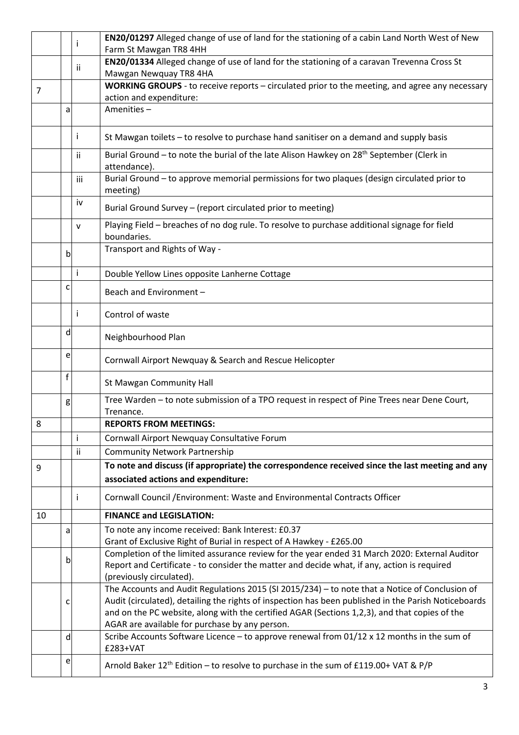|    |              |     | EN20/01297 Alleged change of use of land for the stationing of a cabin Land North West of New                        |
|----|--------------|-----|----------------------------------------------------------------------------------------------------------------------|
|    |              |     | Farm St Mawgan TR8 4HH                                                                                               |
|    |              | ii. | EN20/01334 Alleged change of use of land for the stationing of a caravan Trevenna Cross St                           |
|    |              |     | Mawgan Newquay TR8 4HA                                                                                               |
| 7  |              |     | WORKING GROUPS - to receive reports - circulated prior to the meeting, and agree any necessary                       |
|    |              |     | action and expenditure:                                                                                              |
|    | a            |     | Amenities-                                                                                                           |
|    |              | ı   | St Mawgan toilets - to resolve to purchase hand sanitiser on a demand and supply basis                               |
|    |              | ii. | Burial Ground - to note the burial of the late Alison Hawkey on 28 <sup>th</sup> September (Clerk in<br>attendance). |
|    |              | iii | Burial Ground - to approve memorial permissions for two plaques (design circulated prior to<br>meeting)              |
|    |              | iv  | Burial Ground Survey - (report circulated prior to meeting)                                                          |
|    |              | v   | Playing Field - breaches of no dog rule. To resolve to purchase additional signage for field<br>boundaries.          |
|    | $\mathsf{b}$ |     | Transport and Rights of Way -                                                                                        |
|    |              | i   | Double Yellow Lines opposite Lanherne Cottage                                                                        |
|    | C            |     | Beach and Environment-                                                                                               |
|    |              |     | Control of waste                                                                                                     |
|    | d            |     | Neighbourhood Plan                                                                                                   |
|    | e            |     | Cornwall Airport Newquay & Search and Rescue Helicopter                                                              |
|    | f            |     | St Mawgan Community Hall                                                                                             |
|    | g            |     | Tree Warden - to note submission of a TPO request in respect of Pine Trees near Dene Court,<br>Trenance.             |
| 8  |              |     | <b>REPORTS FROM MEETINGS:</b>                                                                                        |
|    |              | i   | Cornwall Airport Newquay Consultative Forum                                                                          |
|    |              | ii  | <b>Community Network Partnership</b>                                                                                 |
|    |              |     | To note and discuss (if appropriate) the correspondence received since the last meeting and any                      |
| 9  |              |     |                                                                                                                      |
|    |              |     | associated actions and expenditure:                                                                                  |
|    |              |     | Cornwall Council / Environment: Waste and Environmental Contracts Officer                                            |
| 10 |              |     | <b>FINANCE and LEGISLATION:</b>                                                                                      |
|    | a            |     | To note any income received: Bank Interest: £0.37                                                                    |
|    |              |     | Grant of Exclusive Right of Burial in respect of A Hawkey - £265.00                                                  |
|    | b            |     | Completion of the limited assurance review for the year ended 31 March 2020: External Auditor                        |
|    |              |     | Report and Certificate - to consider the matter and decide what, if any, action is required                          |
|    |              |     | (previously circulated).                                                                                             |
|    |              |     | The Accounts and Audit Regulations 2015 (SI 2015/234) - to note that a Notice of Conclusion of                       |
|    | c            |     | Audit (circulated), detailing the rights of inspection has been published in the Parish Noticeboards                 |
|    |              |     | and on the PC website, along with the certified AGAR (Sections 1,2,3), and that copies of the                        |
|    |              |     | AGAR are available for purchase by any person.                                                                       |
|    | d            |     | Scribe Accounts Software Licence - to approve renewal from $01/12 \times 12$ months in the sum of<br>£283+VAT        |
|    | e            |     |                                                                                                                      |
|    |              |     | Arnold Baker 12 <sup>th</sup> Edition - to resolve to purchase in the sum of £119.00+ VAT & P/P                      |